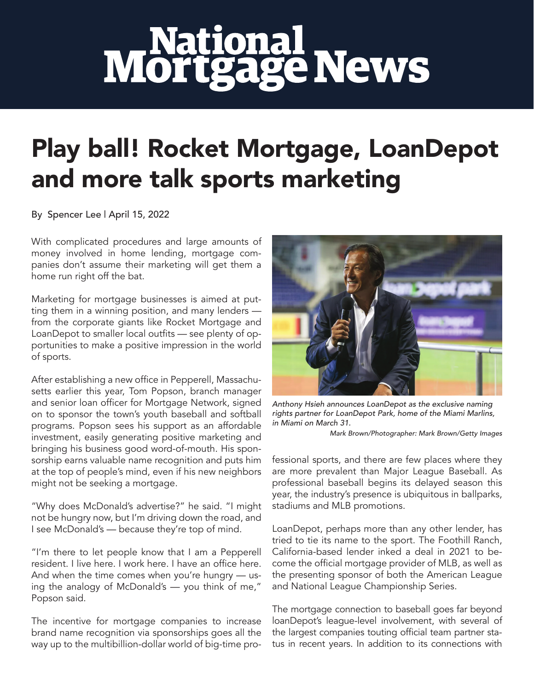## **Mortgage News**

## Play ball! Rocket Mortgage, LoanDepot and more talk sports marketing

By Spencer Lee | April 15, 2022

With complicated procedures and large amounts of money involved in home lending, mortgage companies don't assume their marketing will get them a home run right off the bat.

Marketing for mortgage businesses is aimed at putting them in a winning position, and many lenders from the corporate giants like Rocket Mortgage and LoanDepot to smaller local outfits — see plenty of opportunities to make a positive impression in the world of sports.

After establishing a new office in Pepperell, Massachusetts earlier this year, Tom Popson, branch manager and senior loan officer for Mortgage Network, signed on to sponsor the town's youth baseball and softball programs. Popson sees his support as an affordable investment, easily generating positive marketing and bringing his business good word-of-mouth. His sponsorship earns valuable name recognition and puts him at the top of people's mind, even if his new neighbors might not be seeking a mortgage.

"Why does McDonald's advertise?" he said. "I might not be hungry now, but I'm driving down the road, and I see McDonald's — because they're top of mind.

"I'm there to let people know that I am a Pepperell resident. I live here. I work here. I have an office here. And when the time comes when you're hungry — using the analogy of McDonald's — you think of me," Popson said.

The incentive for mortgage companies to increase brand name recognition via sponsorships goes all the way up to the multibillion-dollar world of big-time pro-



*Anthony Hsieh announces LoanDepot as the exclusive naming rights partner for LoanDepot Park, home of the Miami Marlins, in Miami on March 31.*

*Mark Brown/Photographer: Mark Brown/Getty Images*

fessional sports, and there are few places where they are more prevalent than Major League Baseball. As professional baseball begins its delayed season this year, the industry's presence is ubiquitous in ballparks, stadiums and MLB promotions.

LoanDepot, perhaps more than any other lender, has tried to tie its name to the sport. The Foothill Ranch, California-based lender inked a deal in 2021 to become the official mortgage provider of MLB, as well as the presenting sponsor of both the American League and National League Championship Series.

The mortgage connection to baseball goes far beyond loanDepot's league-level involvement, with several of the largest companies touting official team partner status in recent years. In addition to its connections with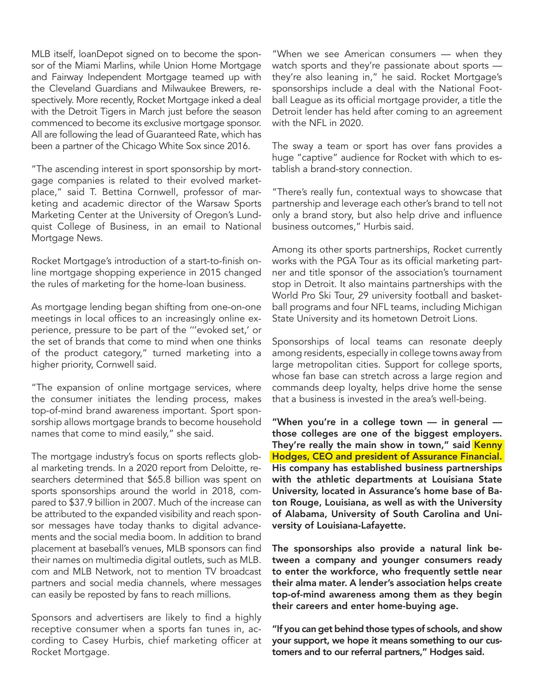MLB itself, loanDepot signed on to become the sponsor of the Miami Marlins, while Union Home Mortgage and Fairway Independent Mortgage teamed up with the Cleveland Guardians and Milwaukee Brewers, respectively. More recently, Rocket Mortgage inked a deal with the Detroit Tigers in March just before the season commenced to become its exclusive mortgage sponsor. All are following the lead of Guaranteed Rate, which has been a partner of the Chicago White Sox since 2016.

"The ascending interest in sport sponsorship by mortgage companies is related to their evolved marketplace," said T. Bettina Cornwell, professor of marketing and academic director of the Warsaw Sports Marketing Center at the University of Oregon's Lundquist College of Business, in an email to National Mortgage News.

Rocket Mortgage's introduction of a start-to-finish online mortgage shopping experience in 2015 changed the rules of marketing for the home-loan business.

As mortgage lending began shifting from one-on-one meetings in local offices to an increasingly online experience, pressure to be part of the '''evoked set,' or the set of brands that come to mind when one thinks of the product category," turned marketing into a higher priority, Cornwell said.

"The expansion of online mortgage services, where the consumer initiates the lending process, makes top-of-mind brand awareness important. Sport sponsorship allows mortgage brands to become household names that come to mind easily," she said.

The mortgage industry's focus on sports reflects global marketing trends. In a 2020 report from Deloitte, researchers determined that \$65.8 billion was spent on sports sponsorships around the world in 2018, compared to \$37.9 billion in 2007. Much of the increase can be attributed to the expanded visibility and reach sponsor messages have today thanks to digital advancements and the social media boom. In addition to brand placement at baseball's venues, MLB sponsors can find their names on multimedia digital outlets, such as MLB. com and MLB Network, not to mention TV broadcast partners and social media channels, where messages can easily be reposted by fans to reach millions.

Sponsors and advertisers are likely to find a highly receptive consumer when a sports fan tunes in, according to Casey Hurbis, chief marketing officer at Rocket Mortgage.

"When we see American consumers — when they watch sports and they're passionate about sports they're also leaning in," he said. Rocket Mortgage's sponsorships include a deal with the National Football League as its official mortgage provider, a title the Detroit lender has held after coming to an agreement with the NFL in 2020.

The sway a team or sport has over fans provides a huge "captive" audience for Rocket with which to establish a brand-story connection.

"There's really fun, contextual ways to showcase that partnership and leverage each other's brand to tell not only a brand story, but also help drive and influence business outcomes," Hurbis said.

Among its other sports partnerships, Rocket currently works with the PGA Tour as its official marketing partner and title sponsor of the association's tournament stop in Detroit. It also maintains partnerships with the World Pro Ski Tour, 29 university football and basketball programs and four NFL teams, including Michigan State University and its hometown Detroit Lions.

Sponsorships of local teams can resonate deeply among residents, especially in college towns away from large metropolitan cities. Support for college sports, whose fan base can stretch across a large region and commands deep loyalty, helps drive home the sense that a business is invested in the area's well-being.

"When you're in a college town — in general those colleges are one of the biggest employers. They're really the main show in town," said Kenny Hodges, CEO and president of Assurance Financial. His company has established business partnerships with the athletic departments at Louisiana State University, located in Assurance's home base of Baton Rouge, Louisiana, as well as with the University of Alabama, University of South Carolina and University of Louisiana-Lafayette.

The sponsorships also provide a natural link between a company and younger consumers ready to enter the workforce, who frequently settle near their alma mater. A lender's association helps create top-of-mind awareness among them as they begin their careers and enter home-buying age.

"If you can get behind those types of schools, and show your support, we hope it means something to our customers and to our referral partners," Hodges said.